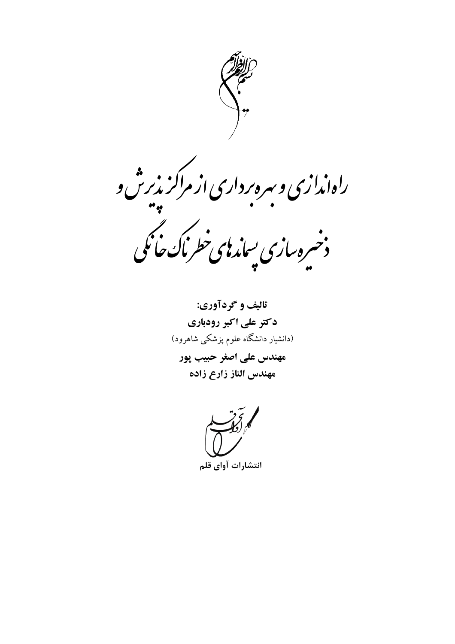

ر<sup>ا</sup>هاندازی و سره *ر*داری از مراکز بذبرش و .<br>دخپره بیازی بساندهی خطرناک خانگی

تاليف و گردآوري: دکتر علی اکبر رودباری (دانشیار دانشگاه علوم پزشکی شاهرود) مهندس على اصغر حبيب پور مهندس الناز زارع زاده

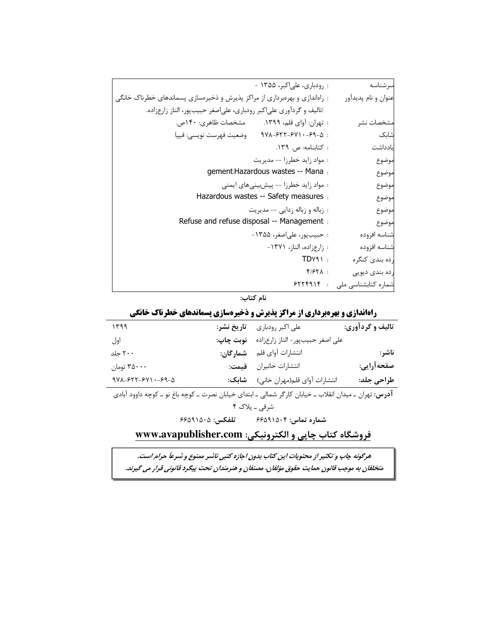| : رودباری، علیاکبر، ۱۳۵۵ -                                                 | سرشناسه                       |
|----------------------------------------------------------------------------|-------------------------------|
|                                                                            |                               |
| : راهاندازی و بهرهبرداری از مراکز پذیرش و ذخیرهسازی پسماندهای خطرناک خانگی | عنوان و نام پديدآور           |
| /تاليف و گردآوري علياكبر رودباري، علي صغر حبيبپور، الناز زارعزاده.         |                               |
| : تهران: آواي قلم، ١٣٩٩. مشخصات ظاهري: ١۴٠ص.                               | مشخصات نشر                    |
| $9V\lambda - 55V - 54V - 59 - 0$ :<br>وضعيت فهرست نويسي: فيپا              | شابک                          |
| : كتابنامه: ص. ١٣٩.                                                        | يادداشت                       |
| : مواد زايد خطرزا -- مديريت                                                | موضوع                         |
| gement: Hazardous wastes -- Mana :                                         | موضوع                         |
| : مواد زاید خطرزا -- پیشبینیهای ایمنی                                      | موضوع                         |
| Hazardous wastes -- Safety measures :                                      | موضوع                         |
| : زباله و زباله زدایی -- مدیریت                                            | موضوع                         |
| Refuse and refuse disposal -- Management :                                 | موضوع                         |
| : حبيب پور، علىاصغر، ۱۳۵۵-                                                 | شناسه افزوده                  |
| : زارعزاده، الناز، ١٣٧١-                                                   | شناسه افزوده                  |
| $TDYY \rightarrow$                                                         | رده بندي كنگره                |
| $f/FY\Lambda$ :                                                            | رده بندی دیویی                |
|                                                                            | شماره كتابشناسي ملي : ۶۲۲۴۹۱۴ |

نام کتاب:

## راهاندازی و بهرهبرداری از مراکز پذیرش و ذخیرهسازی پسماندهای خطرناک خانگی

| ۱۳۹۹                                                                                                              | تاريخ نشر:      | على اكبر رودباري                 | تالیف و گردآوری: |
|-------------------------------------------------------------------------------------------------------------------|-----------------|----------------------------------|------------------|
| اول                                                                                                               | نوبت چاپ:       | على اصغر حبيب ور- الناز زارعزاده |                  |
| ۲۰۰ جلد                                                                                                           | شمارگان:        | انتشارات أواي قلم                | ناشر:            |
| ۳۵۰۰۰ تومان                                                                                                       |                 | انتشارات خانيران قيمت:           | صفحه آرايي:      |
| $9V$ $-55V$ - $5V$ $-59-0$                                                                                        | شابک:           | انتشارات آواي قلم(مهران خاني)    | طراحی جلد:       |
| <b>آدرس:</b> تهران ــ میدان انقلاب ــ خیابان کارگر شمالی ــ ابتدای خیابان نصرت ــ کوچه باغ نو ــ کوچه داوود آبادی |                 |                                  |                  |
| شرقي ــ پلاک ۴                                                                                                    |                 |                                  |                  |
|                                                                                                                   | تلفكس: ۶۶۵۹۱۵۰۵ | شماره تماس: ۶۶۵۹۱۵۰۴             |                  |
| فروشگاه کتاب چاپي و الکترونيکي: www.avapublisher.com                                                              |                 |                                  |                  |

هرگونه چاپ و تکثیر از محتویات این کتاب بدون اجازه کتبی ناشر ممنوع و شرعاً حرام است. متخلفان به موجب قانون حمایت حقوق مؤلفان، مصنفان و هنرمندان تحت پیگرد قانونی قرار می گیرند.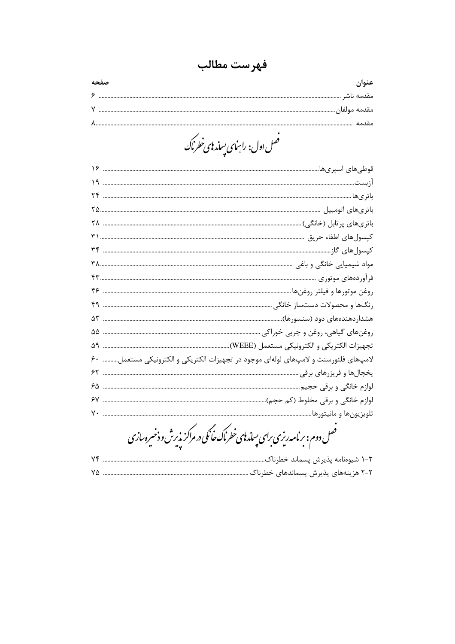فهرست مطالب

.<br>فصل اول: راہنمای پساٰرہی خطر ماک

|    | لامپهای فلئورسنت و لامپهای لولهای موجود در تجهیزات الکتریکی و الکترونیکی مستعمل ۶۰                 |
|----|----------------------------------------------------------------------------------------------------|
|    |                                                                                                    |
|    |                                                                                                    |
|    |                                                                                                    |
| ٧٠ |                                                                                                    |
|    | .<br>فصل دوم: بر نامه ریزی برای پساز <b>ب</b> ای خطر ناک حانکی در مراکز پذیرش و ذخیره <i>ساز</i> ی |
| ۷۴ | ۲-۱ شیوەنامه پذیرش پسماند خطرناک                                                                   |
|    |                                                                                                    |
|    |                                                                                                    |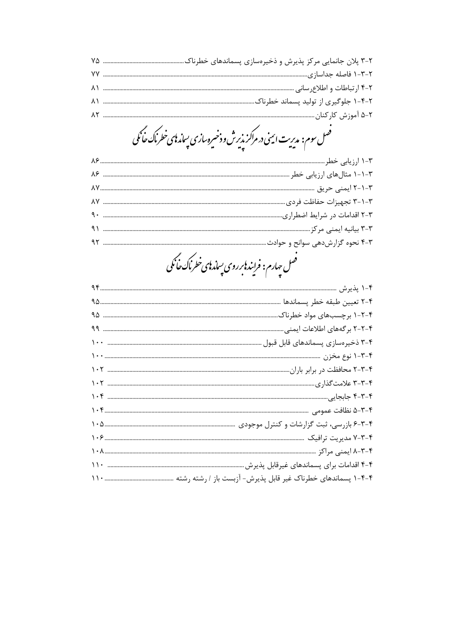.<br>فصل سوم: مدیریت ایمنی در مراکز پذیرش و ذخیره سازی پساند <mark>پ</mark>ی خطر ناک *خانگی* 

| .<br>فصل چارم: فرایندنابر روی پساندنای خطرناک خانگی |
|-----------------------------------------------------|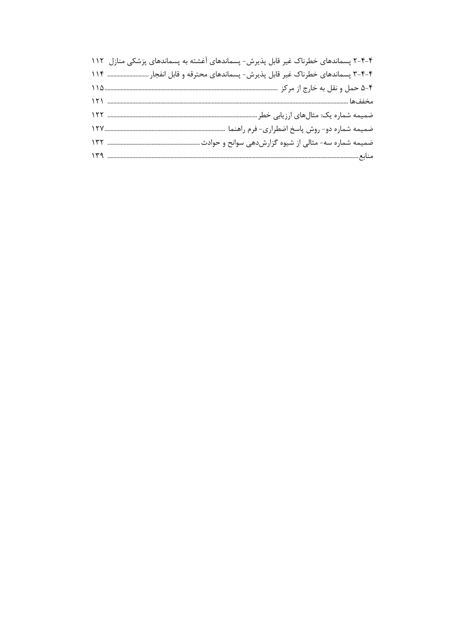| ۴-۴-۲ پسماندهای خطرناک غیر قابل پذیرش- پسماندهای آغشته به پسماندهای پزشکی منازل ۱۱۲ |
|-------------------------------------------------------------------------------------|
| ۴-۴-۳ پسماندهای خطرناک غیر قابل پذیرش- پسماندهای محترقه و قابل انفجار  ۱۱۴          |
|                                                                                     |
|                                                                                     |
|                                                                                     |
|                                                                                     |
|                                                                                     |
|                                                                                     |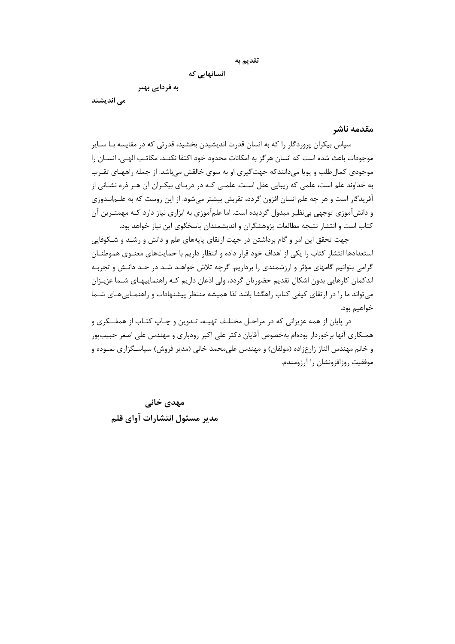```
تقديم به
```
انسانهایی که

به فردایی بهتر

می اندیشند

<span id="page-5-0"></span>مقدمه ناشر

سپاس بیکران پروردگار را که به انسان قدرت اندیشیدن بخشید، قدرتی که در مقایسه بـا سـایر موجودات باعث شده است كه انسان هرگز به امكانات محدود خود اكتفا نكنــد. مكاتـب الهـى، انســان را موجودي كمال طلب و پويا مي دانندكه جهت گيري او به سوي خالقش مي باشد. از جمله راههـاي تقـرب به خداوند علم است، علمی که زیبایی عقل است. علمـی کـه در دریـای بیکـران آن هـر ذره نشـانی از آفریدگار است و هر چه علم انسان افزون گردد، تقربش بیشتر می شود. از این روست که به علــمانــدوزی و دانشآموزی توجهی بی نظیر مبذول گردیده است. اما علمآموزی به ابزاری نیاز دارد کـه مهمتـرین آن کتاب است و انتشار نتیجه مطالعات پژوهشگران و اندیشمندان پاسخگوی این نیاز خواهد بود.

جهت تحقق این امر و گام برداشتن در جهت ارتقای پایههای علم و دانش و رشـد و شـکوفایی استعدادها انتشار كتاب را يكي از اهداف خود قرار داده و انتظار داريم با حمايتهاى معنـوى هموطنـان گرامی بتوانیم گامهای مؤثر و ارزشمندی را برداریم. گرچه تلاش خواهـد شـد در حـد دانـش و تجربـه اندکمان کارهایی بدون اشکال تقدیم حضورتان گردد، ولی اذعان داریم کـه راهنماییهـای شـما عزیـزان می تواند ما را در ارتقای کیفی کتاب راهگشا باشد لذا همیشه منتظر پیشنهادات و راهنمـایی۵هـای شـما خواهيم بود.

در پایان از همه عزیزانی که در مراحـل مختلـف تهیـه، تـدوین و چـاپ کتـاب از همفــکری و همـكاري آنها برخوردار بودهام بهخصوص آقايان دكتر على اكبر رودباري و مهندس على اصغر حبيبپور و خانم مهندس الناز زارعزاده (مولفان) و مهندس على محمد خاني (مدير فروش) سياسـگزاري نمـوده و موفقیت روزافزونشان را آرزومندم.

مهدی خانی مدير مسئول انتشارات آواي قلم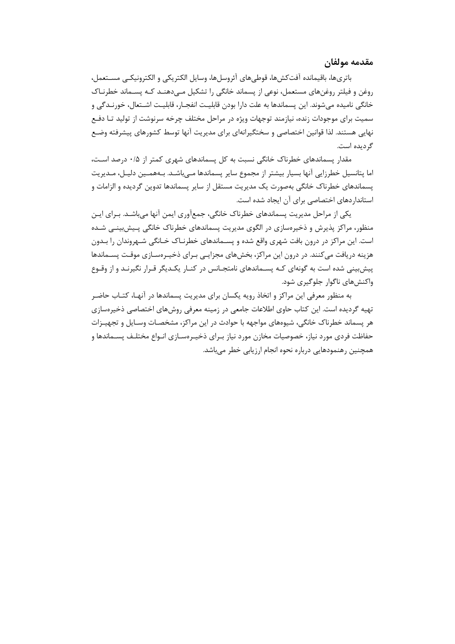<span id="page-6-0"></span>مقدمه مولفان

باترىها، باقيمانده آفتكشها، قوطىهاى آئروسلها، وسايل الكتريكي و الكترونيكـي مسـتعمل، روغن و فیلتر روغنهای مستعمل، نوعی از پسماند خانگی را تشکیل مے دهنــد کــه پســماند خطرنــاک خانگی نامیده می شوند. این پسماندها به علت دارا بودن قابلیـت انفجـار، قابلیـت اشــتعال، خورنــدگی و سمیت برای موجودات زنده، نیازمند توجهات ویژه در مراحل مختلف چرخه سرنوشت از تولید تـا دفـع نهایی هستند. لذا قوانین اختصاصی و سختگیرانهای برای مدیریت آنها توسط کشورهای پیشرفته وضـع گردیده است.

مقدار پسماندهای خطرناک خانگی نسبت به کل پسماندهای شهری کمتر از ۰/۵ درصد است، اما پتانسیل خطرزایی آنها بسیار بیشتر از مجموع سایر پسماندها مـی؛اشـد. بـههمـین دلیـل، مـدیریت پسماندهای خطرناک خانگی بهصورت یک مدیریت مستقل از سایر پسماندها تدوین گردیده و الزامات و استاندار دهای اختصاصی برای آن ایجاد شده است.

یکی از مراحل مدیریت پسماندهای خطرناک خانگی، جمعآوری ایمن آنها میباشـد. بـرای ایـن منظور، مراکز پذیرش و ذخیرهسازی در الگوی مدیریت پسماندهای خطرناک خانگی پـیش.بینـی شـده است. این مراکز در درون بافت شهری واقع شده و پسـماندهای خطرنـاک خـانگی شـهروندان را بـدون هزینه دریافت میکنند. در درون این مراکز، بخشهای مجزایـی بـرای ذخیـرهسـازی موقـت پســماندها پیش بینی شده است به گونهای کـه پسـماندهای نامتجـانس در کنـار یکـدیگر قـرار نگیرنـد و از وقـوع واکنشهای ناگوار جلوگیری شود.

به منظور معرفی این مراکز و اتخاذ رویه یکسان برای مدیریت پسماندها در آنهـا، کتـاب حاضـر تهیه گردیده است. این کتاب حاوی اطلاعات جامعی در زمینه معرفی روشهای اختصاصی ذخیرهسازی هر پسماند خطرناک خانگی، شیوههای مواجهه با حوادث در این مراکز، مشخصـات وسـایل و تجهیـزات حفاظت فردی مورد نیاز، خصوصیات مخازن مورد نیاز بـرای ذخیـرەسـازی انـواع مختلـف پســماندها و همچنین رهنمودهایی درباره نحوه انجام ارزیابی خطر میباشد.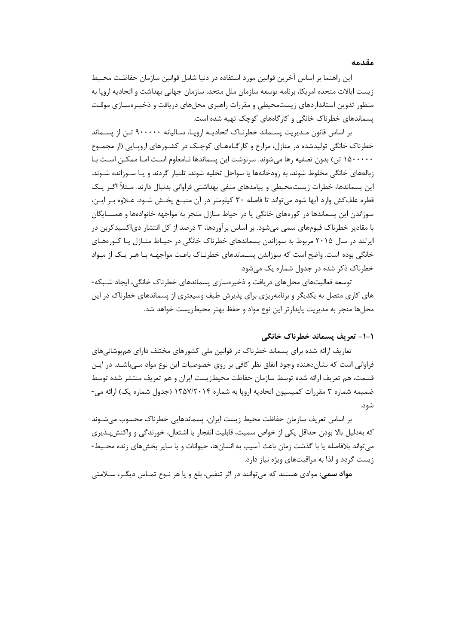<span id="page-7-0"></span>**مقدمه**

این راهنما بر اساس آخرین قوانین مورد استفاده در دنیا شامل قوانین سازمان حفاظـت محـیط زیست ایاالت متحده امریكا، برنامه توسعه سازمان ملل متحد، سازمان جهانی بهداشت و اتحادیه اروپا به منظور تدوین استانداردهای زیستمحیطی و مقررات راهبری محلهای دریافت و ذخیـره سـازی موقـت پسماندهای خطرناك خانگی و کارگاههای کوچك تهیه شده است.

بر اساس قانون مـدیریت پسـماند خطرنـاك اتحادیـه اروپـا، سـالیانه 366666 تـن از پسـماند خطرناك خانگی تولیدشده در منازل، مزارع و کارگـاه هـای کوچـك در کشـورهای اروپـایی )از مجمـوع 8566666 تن( بدون تصفیه رها میشوند. سرنوشت این پسماندها نـامعلوم اسـت امـا ممكـن اسـت بـا زبالههای خانگی مخلوط شوند، به رودخانهها یا سواحل تخلیه شوند، تلنبار گردند و یـا سـوزانده شـوند. این پسماندها، خطرات زیستمحیطی و پیامدهای منفی بهداشتی فراوانی بدنبال دارند. مـثال اگـر یـك قطره علفکش وارد آبها شود میتواند تا فاصله 96 کیلومتر در آن منبـع پخـش شـود. عـالوه بـر ایـن، سوزاندن این پسماندها در کورههای خانگی یا در حیاط منازل منجر به مواجهه خانوادهها و همسـ ایگان با مقادیر خطرناك فیومهای سمی میشود. بر اساس برآوردها، 9 درصد از کل انتشار دیاکسیدکربن در ایرلند در سال 4685 مربوط به سوزاندن پسماندهای خطرناك خانگی در حیـاط منـازل یـا کـوره هـای خانگی بوده است. واضح است که سوزاندن پسـماندهای خطرنـاك باعـث مواجهـه بـا هـر یـ ك از مـواد خطرناك ذکر شده در جدول شماره یك میشود.

توسعه فعالیتهای محلهای دریافت و ذخیرهسازی پسماندهای خطرناك خانگی، ایجاد شـبكه - های کاری متصل به یكدیگر و برنامهریزی برای پذیرش طیف وسیعتری از پسماندهای خطرناك در این محلها منجر به مدیریت پایدارتر این نوع مواد و حفظ بهتر محیطزیست خواهد شد.

**-1-1 تعریف پسماند خطرناک خانگی**

تعاریف ارائه شده برای پسماند خطرناك در قوانین ملی کشورهای مختلف دارای همپوشانیهای فراوانی است که نشاندهنده وجود اتفاق نظر کافی بر روی خصوصیات این نوع مواد مـی باشـد. در ایـن قسمت، هم تعریف ارائه شده توسط سازمان حفاظت محیطزیست ایران و هم تعریف منتشر شده توسط ضمیمه شماره 9 مقررات کمیسیون اتحادیه اروپا به شماره 8957/4684 )جدول شماره یك( ارائه می- شود.

بر اساس تعریف سازمان حفاظت محیط زیست ایران، پسماندهایی خطرناك محسوب میشـوند که بهدلیل بالا بودن حداقل یکی از خواص سمیت، قابلیت انفجار یا اشتعال، خورندگی و واکنش پـذیری میتواند بالفاصله یا با گذشت زمان باعث آسیب به انسانها، حیوانات و یا سایر بخشهای زنده محـیط - زیست گردد و لذا به مراقبتهای ویژه نیاز دارد.

**مواد سمی:** موادی هستند که میتوانند در اثر تنفر، بلع و یا هر نـوع تمـاس دیگـر، سـالمتی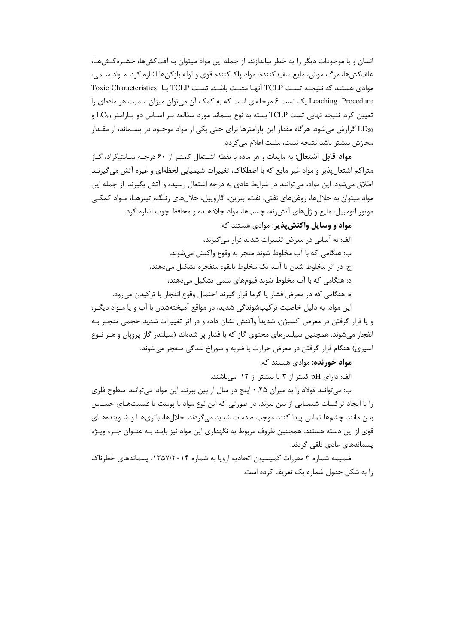انسان و یا موجودات دیگر را به خطر بیاندازند. از جمله این مواد میتوان به آفتکشها، حشـرهکـشهـا، علف کش ها، مرگ موش، مایع سفیدکننده، مواد پاک کننده قوی و لوله باز کن ها اشاره کرد. مـواد ســمی، موادي هستند كه نتيجـه تسـت TCLP آنهـا مثبـت باشـد. تسـت TCLP يـا Toxic Characteristics Leaching Procedure یک تست ۶ مرحلهای است که به کمک آن میتوان میزان سمیت هر مادهای را تعيين كرد. نتيجه نهايي تست TCLP بسته به نوع پسماند مورد مطالعه بـر اسـاس دو پـارامتر LC50 و LD50 گزارش میشود. هرگاه مقدار این پارامترها برای حتی یکی از مواد موجـود در پســماند، از مقــدار مجازش بیشتر باشد نتیجه تست، مثبت اعلام مے گردد.

مواد قابل اشتعال: به مایعات و هر ماده با نقطه اشـتعال کمتـر از ۶۰ درجـه سـانتیگراد، گـاز متراکم اشتعالپذیر و مواد غیر مایع که با اصطکاک، تغییرات شیمیایی لحظهای و غیره آتش می گیرنـد اطلاق میشود. این مواد، میتوانند در شرایط عادی به درجه اشتعال رسیده و آتش بگیرند. از جمله این مواد میتوان به حلالها، روغنهای نفتی، نفت، بنزین، گازوییل، حلالهای رنگ، تینرهـا، مـواد کمکـی موتور اتومبیل، مایع و ژلهای آتش;نه، چسبها، مواد جلادهنده و محافظ چوب اشاره کرد.

مواد و وسایل واکنش بذیر: موادی هستند که: الف: به آسانی در معرض تغییرات شدید قرار می گیرند، ب: هنگامی که با آب مخلوط شوند منجر به وقوع واکنش می شوند، ج: در اثر مخلوط شدن با آب، یک مخلوط بالقوه منفجره تشکیل می دهند، د: هنگامی که با آب مخلوط شوند فیومهای سمی تشکیل می دهند، ه: هنگامی که در معرض فشار یا گرما قرار گیرند احتمال وقوع انفجار یا ترکیدن می رود.

این مواد، به دلیل خاصیت ترکیبشوندگی شدید، در مواقع آمیختهشدن با آب و یا مـواد دیگـر، و یا قرار گرفتن در معرض اکسیژن، شدیداً واکنش نشان داده و در اثر تغییرات شدید حجمی منجـر بـه انفجار میشوند. همچنین سیلندرهای محتوی گاز که با فشار پر شدهاند (سیلندر گاز پروپان و هـر نـوع اسپري) هنگام قرار گرفتن در معرض حرارت یا ضربه و سوراخ شدگی منفجر می شوند.

**مواد خورنده:** موادی هستند که:

الف: دارای pH کمتر از ۳ یا بیشتر از ۱۲ میباشند.

ب: می توانند فولاد را به میزان ۰٫۲۵ اینچ در سال از بین ببرند. این مواد میتوانند سطوح فلزی را با ایجاد ترکیبات شیمیایی از بین ببرند. در صورتی که این نوع مواد با پوست یا قسمتهـای حسـاس بدن مانند چشمها تماس پیدا کنند موجب صدمات شدید می گردند. حلالها، باتریهـا و شـویندههـای قوی از این دسته هستند. همچنین ظروف مربوط به نگهداری این مواد نیز بایـد بـه عنـوان جـزء ویـژه یسماندهای عادی تلقی گردند.

ضمیمه شماره ۳ مقررات کمیسیون اتحادیه اروپا به شماره ۱۳۵۷/۲۰۱۴، پسماندهای خطرناک را به شکل جدول شماره یک تعریف کرده است.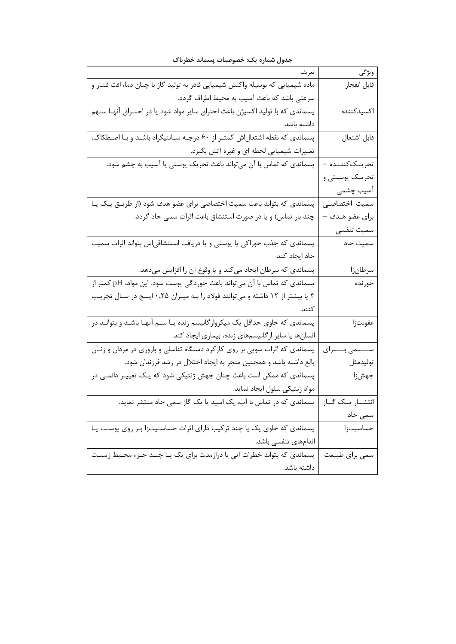| تعريف                                                                           | ويژگى                |
|---------------------------------------------------------------------------------|----------------------|
| ماده شیمیایی که بوسیله واکنش شیمیایی قادر به تولید گاز با چنان دما، افت فشار و  | قابل انفجار          |
| سرعتی باشد که باعث آسیب به محیط اطراف گردد.                                     |                      |
| پسماندی که با تولید اکسیژن باعث احتراق سایر مواد شود یا در احتـراق آنهـا سـهم   | اكسيدكننده           |
| داشته باشد.                                                                     |                      |
| پسماندی که نقطه اشتعال اش کمتـر از ۶۰ درجـه سـانتیگراد باشـد و بـا اصـطکاک،     | قابل اشتعال          |
| تغییرات شیمیایی لحظه ای و غیره آتش بگیرد.                                       |                      |
| پسماندی که تماس با آن میتواند باعث تحریک پوستی یا آسیب به چشم شود.              | تحريىككننىدە –       |
|                                                                                 | تحريــک پوســتى و    |
|                                                                                 | آسیب چشمی            |
| پسماندی که بتواند باعث سمیت اختصاصی برای عضو هدف شود (از طریـق یـک یـا          | سميت اختصاصى         |
| چند بار تماس) و یا در صورت استنشاق باعث اثرات سمی حاد گردد.                     | برای عضو هـدف —      |
|                                                                                 | سميت تنفسى           |
| پسماندی که جذب خوراکی یا پوستی و یا دریافت استنشاقیاش بتواند اثرات سمیت         | سميت حاد             |
| حاد ایجاد کند.                                                                  |                      |
| پسماندی که سرطان ایجاد میکند و یا وقوع آن را افزایش میدهد.                      | سرطانزا              |
| پسماندی که تماس با آن میتواند باعث خوردگی پوست شود. این مواد، pH کمتر از        | خورنده               |
| ۳ یا بیشتر از ۱۲ داشته و میتوانند فولاد را بـه میـزان ۰٫۲۵ ایـنچ در سـال تخریـب |                      |
| كنند.                                                                           |                      |
| پسماندی که حاوی حداقل یک میکروارگانیسم زنده یـا ســم آنهـا باشـد و بتوانـد در   | عفونتزا              |
| انسانها یا سایر ارگانیسمهای زنده، بیماری ایجاد کند.                             |                      |
| پسماندی که اثرات سویی بر روی کارکرد دستگاه تناسلی و باروری در مردان و زنـان     | ســــــمى بــــــراى |
| بالغ داشته باشد و همچنین منجر به ایجاد اختلال در رشد فرزندان شود.               | توليدمثل             |
| پسماندی که ممکن است باعث چنان جهش ژنتیکی شود که یـک تغییـر دائمـی در            | جهشزا                |
| مواد ژنتیکی سلول ایجاد نماید.                                                   |                      |
| پسماندی که در تماس با آب، یک اسید یا یک گاز سمی حاد منتشر نماید.                | انتشــار يــک گــاز  |
|                                                                                 | سمی حاد              |
| پسماندی که حاوی یک یا چند ترکیب دارای اثرات حساسـیتزا بـر روی پوسـت یـا         | حساسيتزا             |
| اندامهای تنفسی باشد.                                                            |                      |
| پسماندی که بتواند خطرات آنی یا درازمدت برای یک یـا چنـد جـزء محـیط زیسـت        | سمى براي طبيعت       |
| داشته باشد.                                                                     |                      |

**جدول شماره یك: خصوصیات پسماند خطرناک**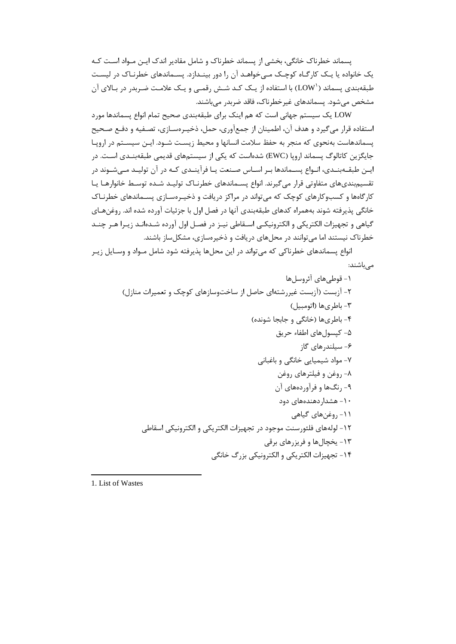پسماند خطرناك خانگی، بخشی از پسماند خطرناك و شامل مقادیر اندك ایـن مـواد اسـت کـه یك خانواده یا یـك کارگـاه کوچـك مـی خواهـد آن را دور بینـدازد. پسـماندهای خطرنـاك در لیسـت طبقهبندی پسماند ('LOW) با استفاده از یـك كـد شـش رقمـی و یـك علامـت ضـربدر در بـالای آن مشخص میشود. پسماندهای غیرخطرناك، فاقد ضربدر میباشند.

LOW یك سیستم جهانی است که هم اینك برای طبقهبندی صحیح تمام انواع پسماندها مورد استفاده قرار میگیرد و هدف آن، اطمینان از جمعآوری، حمل، ذخیـره سـازی، تصـفیه و دفـع صـحیح پسماندهاست بهنحوی که منجر به حفظ سالمت انسانها و محیط زیسـت شـود. ایـن سیسـتم در اروپـا جایگزین کاتالوگ پسماند اروپا )EWC )شدهاست که یكی از سیستمهای قدیمی طبقهبنـدی اسـت. در ایـن طبقـهبنـدی، انـواع پسـماندها بـر اسـاس صـنعت یـا فرآینـدی کـه در آن تولیـد مـیشـوند در تقسیمبندیهای متفاوتی قرار میگیرند. انواع پسـماندهای خطرنـاك تولیـد شـده توسـط خانوارهـا یـا کارگاهها و کسبوکارهای کوچك که میتواند در مراکز دریافت و ذخیـره سـازی پسـماندهای خطرنـاك خانگی پذیرفته شوند بههمراه کدهای طبقهبندی آنها در فصل اول با جزئیات آورده شده اند. روغنهـای گیاهی و تجهیزات الكتریكی و الكترونیكـی اسـقاطی نیـز در فصـل اول آورده شـده انـد زیـرا هـر چنـد خطرناك نیستند اما میتوانند در محلهای دریافت و ذخیرهسازی، مشكلساز باشند.

انواع پسماندهای خطرناکی که میتواند در این محلها پذیرفته شود شامل مـواد و وسـایل زیـر میباشند:

-8 قوطیهای آئروسلها -4 آزبست )آزبست غیررشتهای حاصل از ساختوسازهای کوچك و تعمیرات منازل( -9 باطریها )اتومبیل( -4 باطریها )خانگی و جابجا شونده( -5 کپسولهای اطفاء حریق -0 سیلندرهای گاز -7 مواد شیمیایی خانگی و باغبانی -1 روغن و فیلترهای روغن -3 رنگها و فرآوردههای آن -86 هشداردهندههای دود -88 روغنهای گیاهی -84 لولههای فلئورسنت موجود در تجهیزات الكتریكی و الكترونیكی اسقاطی -89 یخچالها و فریزرهای برقی -84 تجهیزات الكتریكی و الكترونیكی بزرگ خانگی

1. List of Wastes

 $\overline{a}$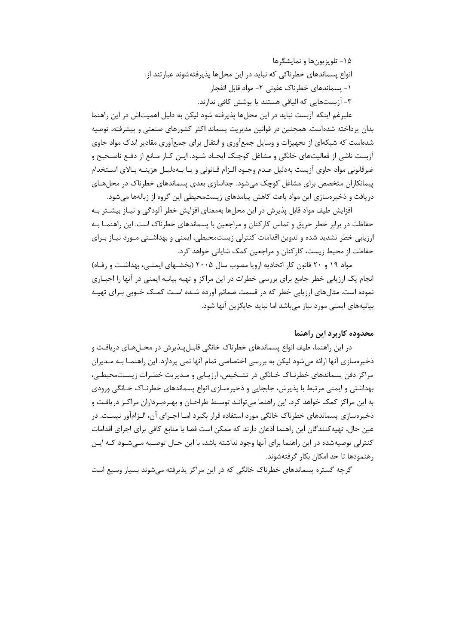-85 تلویزیونها و نمایشگرها انواع پسماندهای خطرناکی که نباید در این محلها پذیرفتهشوند عبارتند از: -8 پسماندهای خطرناك عفونی -4 مواد قابل انفجار -9 آزبستهایی که الیافی هستند یا پوشش کافی ندارند.

علیرغم اینكه آزبست نباید در این محلها پذیرفته شود لیكن به دلیل اهمیتاش در این راهنما بدان پرداخته شدهاست. همچنین در قوانین مدیریت پسماند اکثر کشورهای صنعتی و پیشرفته، توصیه شدهاست که شبكهای از تجهیزات و وسایل جمعآوری و انتقال برای جمعآوری مقادیر اندك مواد حاوی آزبست ناشی از فعالیتهای خانگی و مشاغل کوچـك ایجـ اد شـود. ایـن کـار مـانع از دفـع ناصـحیح و غیرقانونی مواد حاوی آزبست بهدلیل عـدم وجـود الـزام قـانونی و یـا بـه دلیـل هزینـه بـاالی اسـتخدام پیمانكاران متخصص برای مشاغل کوچك میشود. جداسازی بعدی پسماندهای خطرناك در محلهـای دریافت و ذخیرهسازی این مواد باعث کاهش پیامدهای زیستمحیطی این گروه از زبالهها میشود.

افزایش طیف مواد قابل پذیرش در این محلها بهمعنای افزایش خطر آلودگی و نیـاز بیشـتر بـه حفاظت در برابر خطر حریق و تماس کارکنان و مراجعین با پسماندهای خطرناك است. این راهنمـا بـه ارزیابی خطر تشدید شده و تدوین اقدامات کنترلی زیستمحیطی، ایمنی و بهداشـتی مـورد نیـاز بـرای حفاظت از محیط زیست، کارکنان و مراجعین کمك شایانی خواهد کرد.

مواد 83 و 46 قانون کار اتحادیه اروپا مصوب سال 4665 )بخشـهای ایمنـی، بهداشـت و رفـاه( انجام یك ارزیابی خطر جامع برای بررسی خطرات در این مراکز و تهیه بیانیه ایمنی در آنها را اجبـاری نموده است. مثالهای ارزیابی خطر که در قسمت ضمائم آورده شـده اسـت کمـك خـوبی بـرای تهیـه بیانیههای ایمنی مورد نیاز میباشد اما نباید جایگزین آنها شود.

## **محدوده کاربرد این راهنما**

در این راهنما، طیف انواع پسماندهای خطرناك خانگی قابـل پـذیرش در محـل هـای دریافـت و ذخیرهسازی آنها ارائه میشود لیكن به بررسی اختصاصی تمام آنها نمی پردازد. این راهنمـا بـه مـدیران مراکز دفن پسماندهای خطرنـاك خـانگی در تشـخیص، ارزیـابی و مـدیریت خطـرات زیسـت محیطـی، بهداشتی و ایمنی مرتبط با پذیرش، جابجایی و ذخیرهسازی انواع پسماندهای خطرنـاك خـانگی ورودی به این مراکز کمك خواهد کرد. این راهنما میتوانـد توسـط طراحـان و بهـره بـرداران مراکـز دریافـت و ذخیرهسازی پسماندهای خطرناك خانگی مورد استفاده قرار بگیرد امـا اجـرای آن، الـزام آور نیسـت. در عین حال، تهیهکنندگان این راهنما اذعان دارند که ممكن است فضا یا منابع کافی برای اجرای اقدامات کنترلی توصیهشده در این راهنما برای آنها وجود نداشته باشد، با این حـال توصـیه مـی شـود کـه ایـن رهنمودها تا حد امكان بكار گرفتهشوند.

گرچه گستره پسماندهای خطرناك خانگی که در این مراکز پذیرفته میشوند بسیار وسیع است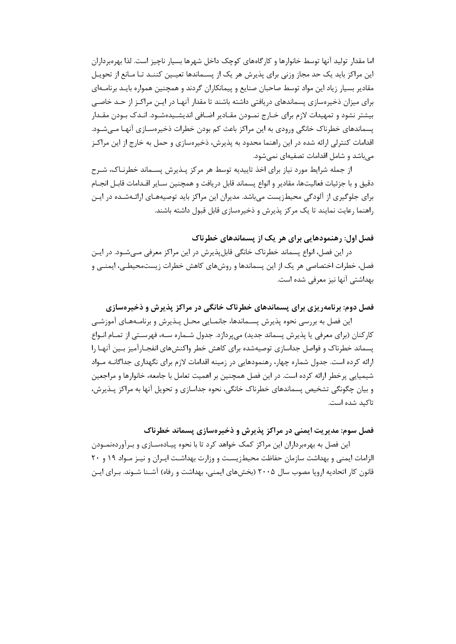اما مقدار تولید آنها توسط خانوارها و کارگاههای کوچك داخل شهرها بسیار ناچیز است. لذا بهرهبرداران این مراکز باید یك حد مجاز وزنی برای پذیرش هر یك از پسـماندها تعیـین کننـد تـا مـانع از تحویـل مقادیر بسیار زیاد این مواد توسط صاحبان صنایع و پیمانكاران گردند و همچنین همواره بایـد برنامـه ای برای میزان ذخیرهسازی پسماندهای دریافتی داشته باشند تا مقدار آنهـا در ایـن مراکـز از حـد خاصـی بیشتر نشود و تمهیدات الزم برای خـارج نمـودن مقـادیر اضـافی اندیشـیده شـود. انـدك بـودن مقـدار پسماندهای خطرناك خانگی ورودی به این مراکز باعث کم بودن خطرات ذخیرهسـازی آنهـا مـی شـود. اقدامات کنترلی ارائه شده در این راهنما محدود به پذیرش، ذخیرهسازی و حمل به خارج از این مراکـز میباشد و شامل اقدامات تصفیهای نمیشود.

از جمله شرایط مورد نیاز برای اخذ تاییدیه توسط هر مرکز پـذیرش پسـماند خطرنـا ك، شـرح دقیق و با جزئیات فعالیتها، مقادیر و انواع پسماند قابل دریافت و همچنین سـایر اقـدامات قابـل انجـام برای جلوگیری از آلودگی محیطزیست میباشد. مدیران این مراکز باید توصیههـای ارائـه شـده در ایـن راهنما رعایت نمایند تا یك مرکز پذیرش و ذخیرهسازی قابل قبول داشته باشند.

**فصل اول: رهنمودهایی براي هر یك از پسماندهاي خطرناک**

در این فصل، انواع پسماند خطرناك خانگی قابلپذیرش در این مراکز معرفی مـی شـود. در ایـن فصل، خطرات اختصاصی هر یك از این پسماندها و روشهای کاهش خطرات زیستمحیطـی، ایمنـی و بهداشتی آنها نیز معرفی شده است.

**فصل دوم: برنامهریزي براي پسماندهاي خطرناک خانگی در مراکز پذیرش و ذخیرهسازي**

این فصل به بررسی نحوه پذیرش پسـماندها، جانمـایی محـل پـذیرش و برنامـه هـای آموزشـی کارکنان (برای معرفی یا پذیرش پسماند جدید) میپردازد. جدول شـماره سـه، فهرسـتی از تمـام انـواع پسماند خطرناك و فواصل جداسازی توصیهشده برای کاهش خطر واکنشهای انفجـارآمیز بـین آنهـا را ارائه کرده است. جدول شماره چهار، رهنمودهایی در زمینه اقدامات الزم برای نگهداری جداگانـه مـواد شیمیایی پرخطر ارائه کرده است. در این فصل همچنین بر اهمیت تعامل با جامعه، خانوارها و مراجعین و بیان چگونگی تشخیص پسماندهای خطرناك خانگی، نحوه جداسازی و تحویل آنها به مراکز پـذیرش، تاکید شده است.

**فصل سوم: مدیریت ایمنی در مراکز پذیرش و ذخیرهسازي پسماند خطرناک**

این فصل به بهرهبرداران این مراکز کمك خواهد کرد تا با نحوه پیـاده سـازی و بـرآورده نمـودن الزامات ایمنی و بهداشت سازمان حفاظت محیطزیسـت و وزارت بهداشـت ایـران و نیـز مـواد 83 و 46 قانون کار اتحادیه اروپا مصوب سال ۲۰۰۵ (بخشهای ایمنی، بهداشت و رفاه) آشـنا شـوند. بـرای ایـن